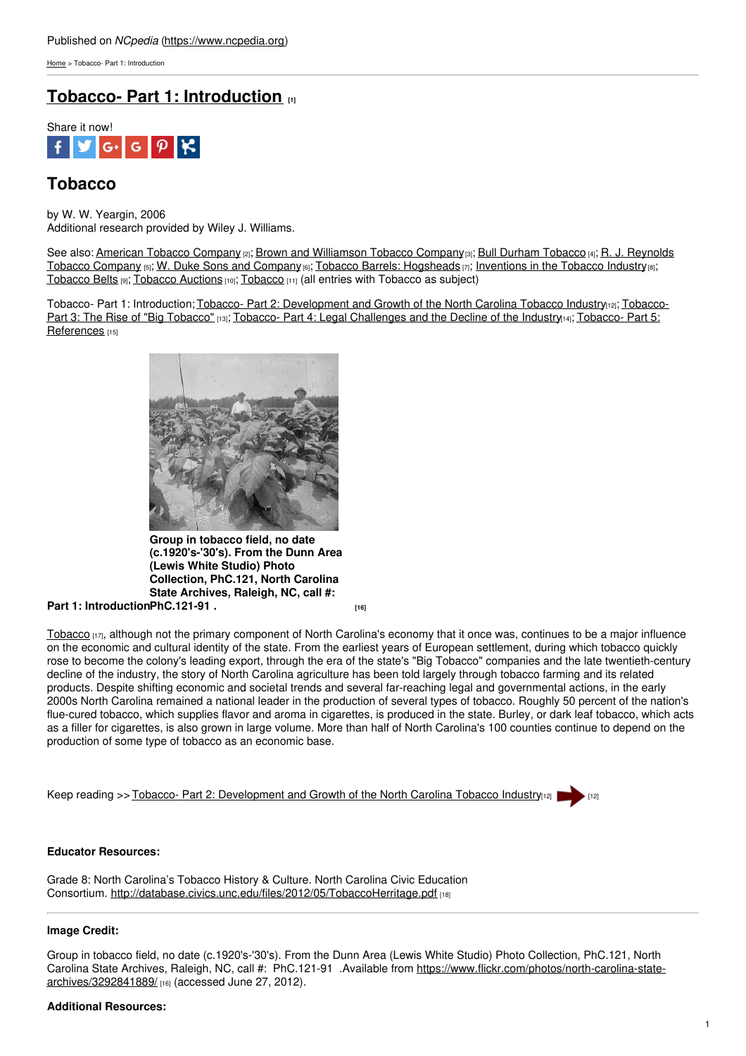[Home](https://www.ncpedia.org/) > Tobacco- Part 1: Introduction

# **Tobacco- Part 1: [Introduction](https://www.ncpedia.org/tobacco) [1]**



## **Tobacco**

by W. W. Yeargin, 2006 Additional research provided by Wiley J. Williams.

See also: [American](https://www.ncpedia.org/american-tobacco-company) Tobacco Company [2]; Brown and [Williamson](https://www.ncpedia.org/r-j-reynolds-tobacco-company) [Tobacco](https://www.ncpedia.org/bull-durham-tobacco) Company[3]; Bull Durham Tobacco [4]; R. J. Reynolds Tobacco [Company](https://www.ncpedia.org/w-duke-sons-and-company) [5]; W. Duke Sons and Company [6]; Tobacco Barrels: [Hogsheads](https://www.ncpedia.org/tobacco/barrels) [7]; [Inventions](https://www.ncpedia.org/tobacco/inventions) in the Tobacco Industry [8]; [Tobacco](https://www.ncpedia.org/tobacco-belts) Belts [9]; [Tobacco](https://www.ncpedia.org/tobacco-auctions) Auctions [10]; [Tobacco](https://ncpedia.org/category/subjects/tobacco) [11] (all entries with Tobacco as subject)

Tobacco- Part 1: Introduction; Tobacco- Part 2: [Development](https://www.ncpedia.org/tobacco-part-2-development-and-grow) and Growth of the North Carolina Tobacco Industry<sub>[12]</sub>; Tobacco-Part 3: The Rise of "Big Tobacco" [13]; [Tobacco-](http://www.social9.com) Part 4: Legal [Challenges](https://www.ncpedia.org/tobacco-part-5-references) and the Decline of the Industry[14]; Tobacco- Part 5: References [15]



**Part 1: Introduction [PhC.121-91](https://www.flickr.com/photos/north-carolina-state-archives/3292841889/) . [16] Group in tobacco field, no date (c.1920's-'30's). From the Dunn Area (Lewis White Studio) Photo Collection, PhC.121, North Carolina State Archives, Raleigh, NC, call #:**

[Tobacco](http://www.ncagr.gov/markets/commodit/horticul/tobacco/)  $[17]$ , although not the primary component of North Carolina's economy that it once was, continues to be a major influence on the economic and cultural identity of the state. From the earliest years of European settlement, during which tobacco quickly rose to become the colony's leading export, through the era of the state's "Big Tobacco" companies and the late twentieth-century decline of the industry, the story of North Carolina agriculture has been told largely through tobacco farming and its related products. Despite shifting economic and societal trends and several far-reaching legal and governmental actions, in the early 2000s North Carolina remained a national leader in the production of several types of tobacco. Roughly 50 percent of the nation's flue-cured tobacco, which supplies flavor and aroma in cigarettes, is produced in the state. Burley, or dark leaf tobacco, which acts as a filler for cigarettes, is also grown in large volume. More than half of North Carolina's 100 counties continue to depend on the production of some type of tobacco as an economic base.

Keep reading >> Tobacco- Part 2: [Development](https://www.ncpedia.org/tobacco-part-2-development-and-grow) and Growth of the North Carolina Tobacco Industry[12] [

### **Educator Resources:**

Grade 8: North Carolina's Tobacco History & Culture. North Carolina Civic Education Consortium. <http://database.civics.unc.edu/files/2012/05/TobaccoHerritage.pdf> [18]

### **Image Credit:**

Group in tobacco field, no date (c.1920's-'30's). From the Dunn Area (Lewis White Studio) Photo Collection, PhC.121, North Carolina State Archives, Raleigh, NC, call #: PhC.121-91 .Available from [https://www.flickr.com/photos/north-carolina-state](https://www.flickr.com/photos/north-carolina-state-archives/3292841889/)archives/3292841889/ [16] (accessed June 27, 2012).